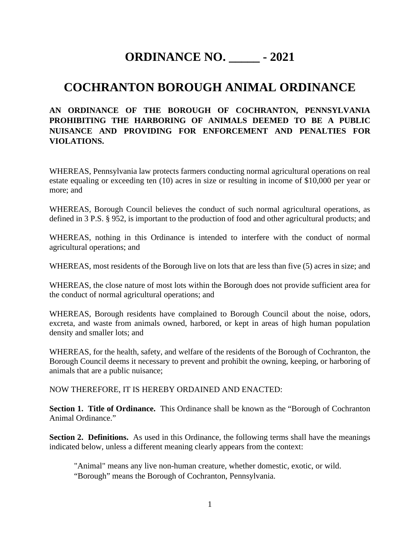# **ORDINANCE NO. \_\_\_\_\_ - 2021**

## **COCHRANTON BOROUGH ANIMAL ORDINANCE**

## **AN ORDINANCE OF THE BOROUGH OF COCHRANTON, PENNSYLVANIA PROHIBITING THE HARBORING OF ANIMALS DEEMED TO BE A PUBLIC NUISANCE AND PROVIDING FOR ENFORCEMENT AND PENALTIES FOR VIOLATIONS.**

WHEREAS, Pennsylvania law protects farmers conducting normal agricultural operations on real estate equaling or exceeding ten (10) acres in size or resulting in income of \$10,000 per year or more; and

WHEREAS, Borough Council believes the conduct of such normal agricultural operations, as defined in 3 P.S. § 952, is important to the production of food and other agricultural products; and

WHEREAS, nothing in this Ordinance is intended to interfere with the conduct of normal agricultural operations; and

WHEREAS, most residents of the Borough live on lots that are less than five (5) acres in size; and

WHEREAS, the close nature of most lots within the Borough does not provide sufficient area for the conduct of normal agricultural operations; and

WHEREAS, Borough residents have complained to Borough Council about the noise, odors, excreta, and waste from animals owned, harbored, or kept in areas of high human population density and smaller lots; and

WHEREAS, for the health, safety, and welfare of the residents of the Borough of Cochranton, the Borough Council deems it necessary to prevent and prohibit the owning, keeping, or harboring of animals that are a public nuisance;

NOW THEREFORE, IT IS HEREBY ORDAINED AND ENACTED:

**Section 1. Title of Ordinance.** This Ordinance shall be known as the "Borough of Cochranton Animal Ordinance."

**Section 2. Definitions.** As used in this Ordinance, the following terms shall have the meanings indicated below, unless a different meaning clearly appears from the context:

"Animal" means any live non-human creature, whether domestic, exotic, or wild. "Borough" means the Borough of Cochranton, Pennsylvania.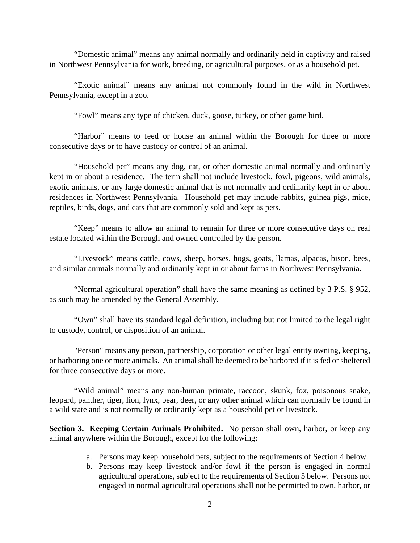"Domestic animal" means any animal normally and ordinarily held in captivity and raised in Northwest Pennsylvania for work, breeding, or agricultural purposes, or as a household pet.

"Exotic animal" means any animal not commonly found in the wild in Northwest Pennsylvania, except in a zoo.

"Fowl" means any type of chicken, duck, goose, turkey, or other game bird.

"Harbor" means to feed or house an animal within the Borough for three or more consecutive days or to have custody or control of an animal.

"Household pet" means any dog, cat, or other domestic animal normally and ordinarily kept in or about a residence. The term shall not include livestock, fowl, pigeons, wild animals, exotic animals, or any large domestic animal that is not normally and ordinarily kept in or about residences in Northwest Pennsylvania. Household pet may include rabbits, guinea pigs, mice, reptiles, birds, dogs, and cats that are commonly sold and kept as pets.

"Keep" means to allow an animal to remain for three or more consecutive days on real estate located within the Borough and owned controlled by the person.

"Livestock" means cattle, cows, sheep, horses, hogs, goats, llamas, alpacas, bison, bees, and similar animals normally and ordinarily kept in or about farms in Northwest Pennsylvania.

"Normal agricultural operation" shall have the same meaning as defined by 3 P.S. § 952, as such may be amended by the General Assembly.

"Own" shall have its standard legal definition, including but not limited to the legal right to custody, control, or disposition of an animal.

"Person" means any person, partnership, corporation or other legal entity owning, keeping, or harboring one or more animals. An animal shall be deemed to be harbored if it is fed or sheltered for three consecutive days or more.

"Wild animal" means any non-human primate, raccoon, skunk, fox, poisonous snake, leopard, panther, tiger, lion, lynx, bear, deer, or any other animal which can normally be found in a wild state and is not normally or ordinarily kept as a household pet or livestock.

**Section 3. Keeping Certain Animals Prohibited.** No person shall own, harbor, or keep any animal anywhere within the Borough, except for the following:

- a. Persons may keep household pets, subject to the requirements of Section 4 below.
- b. Persons may keep livestock and/or fowl if the person is engaged in normal agricultural operations, subject to the requirements of Section 5 below. Persons not engaged in normal agricultural operations shall not be permitted to own, harbor, or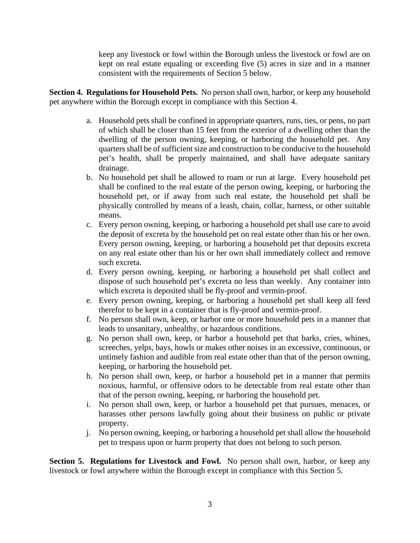keep any livestock or fowl within the Borough unless the livestock or fowl are on kept on real estate equaling or exceeding five (5) acres in size and in a manner consistent with the requirements of Section 5 below.

**Section 4. Regulations for Household Pets.** No person shall own, harbor, or keep any household pet anywhere within the Borough except in compliance with this Section 4.

- a. Household pets shall be confined in appropriate quarters, runs, ties, or pens, no part of which shall be closer than 15 feet from the exterior of a dwelling other than the dwelling of the person owning, keeping, or harboring the household pet. Any quarters shall be of sufficient size and construction to be conducive to the household pet's health, shall be properly maintained, and shall have adequate sanitary drainage.
- b. No household pet shall be allowed to roam or run at large. Every household pet shall be confined to the real estate of the person owing, keeping, or harboring the household pet, or if away from such real estate, the household pet shall be physically controlled by means of a leash, chain, collar, harness, or other suitable means.
- c. Every person owning, keeping, or harboring a household pet shall use care to avoid the deposit of excreta by the household pet on real estate other than his or her own. Every person owning, keeping, or harboring a household pet that deposits excreta on any real estate other than his or her own shall immediately collect and remove such excreta.
- d. Every person owning, keeping, or harboring a household pet shall collect and dispose of such household pet's excreta no less than weekly. Any container into which excreta is deposited shall be fly-proof and vermin-proof.
- e. Every person owning, keeping, or harboring a household pet shall keep all feed therefor to be kept in a container that is fly-proof and vermin-proof.
- f. No person shall own, keep, or harbor one or more household pets in a manner that leads to unsanitary, unhealthy, or hazardous conditions.
- g. No person shall own, keep, or harbor a household pet that barks, cries, whines, screeches, yelps, bays, howls or makes other noises in an excessive, continuous, or untimely fashion and audible from real estate other than that of the person owning, keeping, or harboring the household pet.
- h. No person shall own, keep, or harbor a household pet in a manner that permits noxious, harmful, or offensive odors to be detectable from real estate other than that of the person owning, keeping, or harboring the household pet.
- i. No person shall own, keep, or harbor a household pet that pursues, menaces, or harasses other persons lawfully going about their business on public or private property.
- j. No person owning, keeping, or harboring a household pet shall allow the household pet to trespass upon or harm property that does not belong to such person.

**Section 5. Regulations for Livestock and Fowl.** No person shall own, harbor, or keep any livestock or fowl anywhere within the Borough except in compliance with this Section 5.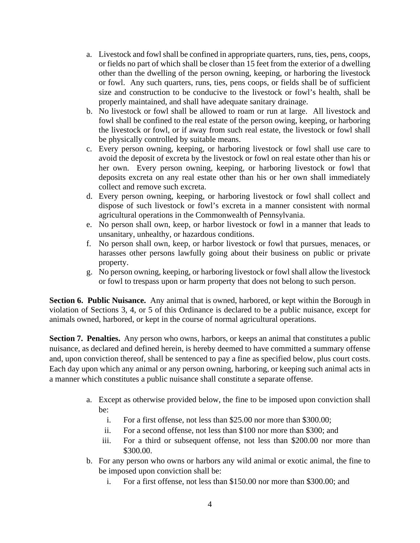- a. Livestock and fowl shall be confined in appropriate quarters, runs, ties, pens, coops, or fields no part of which shall be closer than 15 feet from the exterior of a dwelling other than the dwelling of the person owning, keeping, or harboring the livestock or fowl. Any such quarters, runs, ties, pens coops, or fields shall be of sufficient size and construction to be conducive to the livestock or fowl's health, shall be properly maintained, and shall have adequate sanitary drainage.
- b. No livestock or fowl shall be allowed to roam or run at large. All livestock and fowl shall be confined to the real estate of the person owing, keeping, or harboring the livestock or fowl, or if away from such real estate, the livestock or fowl shall be physically controlled by suitable means.
- c. Every person owning, keeping, or harboring livestock or fowl shall use care to avoid the deposit of excreta by the livestock or fowl on real estate other than his or her own. Every person owning, keeping, or harboring livestock or fowl that deposits excreta on any real estate other than his or her own shall immediately collect and remove such excreta.
- d. Every person owning, keeping, or harboring livestock or fowl shall collect and dispose of such livestock or fowl's excreta in a manner consistent with normal agricultural operations in the Commonwealth of Pennsylvania.
- e. No person shall own, keep, or harbor livestock or fowl in a manner that leads to unsanitary, unhealthy, or hazardous conditions.
- f. No person shall own, keep, or harbor livestock or fowl that pursues, menaces, or harasses other persons lawfully going about their business on public or private property.
- g. No person owning, keeping, or harboring livestock or fowl shall allow the livestock or fowl to trespass upon or harm property that does not belong to such person.

**Section 6. Public Nuisance.** Any animal that is owned, harbored, or kept within the Borough in violation of Sections 3, 4, or 5 of this Ordinance is declared to be a public nuisance, except for animals owned, harbored, or kept in the course of normal agricultural operations.

**Section 7. Penalties.** Any person who owns, harbors, or keeps an animal that constitutes a public nuisance, as declared and defined herein, is hereby deemed to have committed a summary offense and, upon conviction thereof, shall be sentenced to pay a fine as specified below, plus court costs. Each day upon which any animal or any person owning, harboring, or keeping such animal acts in a manner which constitutes a public nuisance shall constitute a separate offense.

- a. Except as otherwise provided below, the fine to be imposed upon conviction shall be:
	- i. For a first offense, not less than \$25.00 nor more than \$300.00;
	- ii. For a second offense, not less than \$100 nor more than \$300; and
	- iii. For a third or subsequent offense, not less than \$200.00 nor more than \$300.00.
- b. For any person who owns or harbors any wild animal or exotic animal, the fine to be imposed upon conviction shall be:
	- i. For a first offense, not less than \$150.00 nor more than \$300.00; and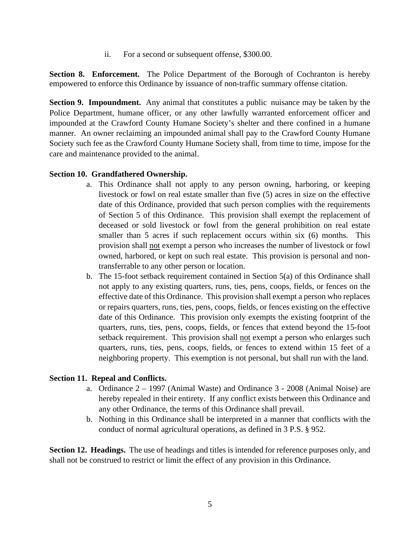ii. For a second or subsequent offense, \$300.00.

**Section 8. Enforcement.** The Police Department of the Borough of Cochranton is hereby empowered to enforce this Ordinance by issuance of non-traffic summary offense citation.

**Section 9. Impoundment.** Any animal that constitutes a public nuisance may be taken by the Police Department, humane officer, or any other lawfully warranted enforcement officer and impounded at the Crawford County Humane Society's shelter and there confined in a humane manner. An owner reclaiming an impounded animal shall pay to the Crawford County Humane Society such fee as the Crawford County Humane Society shall, from time to time, impose for the care and maintenance provided to the animal.

### **Section 10. Grandfathered Ownership.**

- a. This Ordinance shall not apply to any person owning, harboring, or keeping livestock or fowl on real estate smaller than five (5) acres in size on the effective date of this Ordinance, provided that such person complies with the requirements of Section 5 of this Ordinance. This provision shall exempt the replacement of deceased or sold livestock or fowl from the general prohibition on real estate smaller than 5 acres if such replacement occurs within six (6) months. This provision shall not exempt a person who increases the number of livestock or fowl owned, harbored, or kept on such real estate. This provision is personal and nontransferrable to any other person or location.
- b. The 15-foot setback requirement contained in Section 5(a) of this Ordinance shall not apply to any existing quarters, runs, ties, pens, coops, fields, or fences on the effective date of this Ordinance. This provision shall exempt a person who replaces or repairs quarters, runs, ties, pens, coops, fields, or fences existing on the effective date of this Ordinance. This provision only exempts the existing footprint of the quarters, runs, ties, pens, coops, fields, or fences that extend beyond the 15-foot setback requirement. This provision shall not exempt a person who enlarges such quarters, runs, ties, pens, coops, fields, or fences to extend within 15 feet of a neighboring property. This exemption is not personal, but shall run with the land.

#### **Section 11. Repeal and Conflicts.**

- a. Ordinance 2 1997 (Animal Waste) and Ordinance 3 2008 (Animal Noise) are hereby repealed in their entirety. If any conflict exists between this Ordinance and any other Ordinance, the terms of this Ordinance shall prevail.
- b. Nothing in this Ordinance shall be interpreted in a manner that conflicts with the conduct of normal agricultural operations, as defined in 3 P.S. § 952.

**Section 12. Headings.** The use of headings and titles is intended for reference purposes only, and shall not be construed to restrict or limit the effect of any provision in this Ordinance.